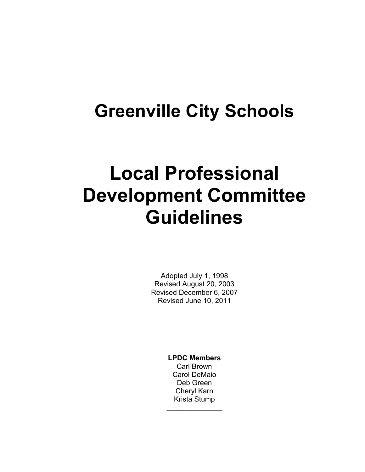## **Greenville City Schools**

# **Local Professional Development Committee Guidelines**

Adopted July 1, 1998 Revised August 20, 2003 Revised December 6, 2007 Revised June 10, 2011

> **LPDC Members**  Carl Brown Carol DeMaio Deb Green Cheryl Karn Krista Stump **\_\_\_\_\_\_\_\_\_\_\_\_\_\_**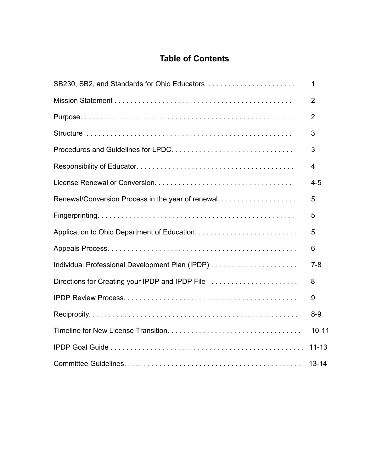## **Table of Contents**

| SB230, SB2, and Standards for Ohio Educators      | $\mathbf 1$    |
|---------------------------------------------------|----------------|
|                                                   | $\overline{2}$ |
|                                                   | $\overline{2}$ |
|                                                   | 3              |
|                                                   | 3              |
|                                                   | 4              |
|                                                   | $4 - 5$        |
| Renewal/Conversion Process in the year of renewal | 5              |
|                                                   | 5              |
|                                                   | 5              |
|                                                   | 6              |
|                                                   | $7 - 8$        |
| Directions for Creating your IPDP and IPDP File   | 8              |
|                                                   | 9              |
|                                                   | $8-9$          |
|                                                   | $10 - 11$      |
|                                                   | $11 - 13$      |
|                                                   | $13 - 14$      |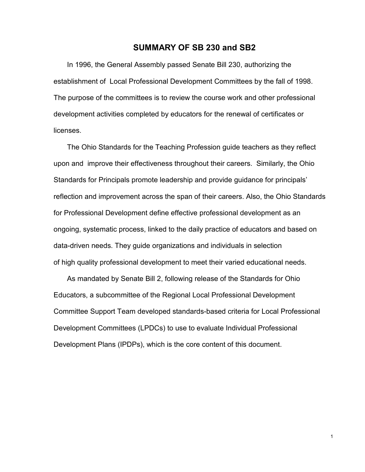#### **SUMMARY OF SB 230 and SB2**

 In 1996, the General Assembly passed Senate Bill 230, authorizing the establishment of Local Professional Development Committees by the fall of 1998. The purpose of the committees is to review the course work and other professional development activities completed by educators for the renewal of certificates or licenses.

 The Ohio Standards for the Teaching Profession guide teachers as they reflect upon and improve their effectiveness throughout their careers. Similarly, the Ohio Standards for Principals promote leadership and provide guidance for principals' reflection and improvement across the span of their careers. Also, the Ohio Standards for Professional Development define effective professional development as an ongoing, systematic process, linked to the daily practice of educators and based on data-driven needs. They guide organizations and individuals in selection of high quality professional development to meet their varied educational needs.

 As mandated by Senate Bill 2, following release of the Standards for Ohio Educators, a subcommittee of the Regional Local Professional Development Committee Support Team developed standards-based criteria for Local Professional Development Committees (LPDCs) to use to evaluate Individual Professional Development Plans (IPDPs), which is the core content of this document.

1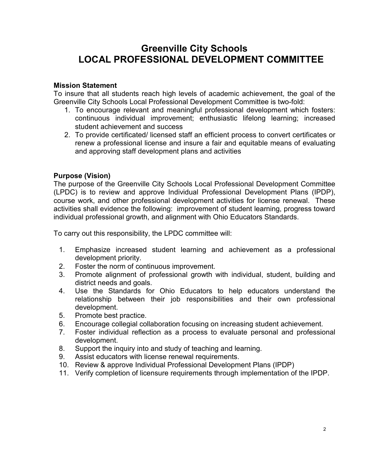## **Greenville City Schools LOCAL PROFESSIONAL DEVELOPMENT COMMITTEE**

#### **Mission Statement**

To insure that all students reach high levels of academic achievement, the goal of the Greenville City Schools Local Professional Development Committee is two-fold:

- 1. To encourage relevant and meaningful professional development which fosters: continuous individual improvement; enthusiastic lifelong learning; increased student achievement and success
- 2. To provide certificated/ licensed staff an efficient process to convert certificates or renew a professional license and insure a fair and equitable means of evaluating and approving staff development plans and activities

#### **Purpose (Vision)**

The purpose of the Greenville City Schools Local Professional Development Committee (LPDC) is to review and approve Individual Professional Development Plans (IPDP), course work, and other professional development activities for license renewal. These activities shall evidence the following: improvement of student learning, progress toward individual professional growth, and alignment with Ohio Educators Standards.

To carry out this responsibility, the LPDC committee will:

- 1. Emphasize increased student learning and achievement as a professional development priority.
- 2. Foster the norm of continuous improvement.
- 3. Promote alignment of professional growth with individual, student, building and district needs and goals.
- 4. Use the Standards for Ohio Educators to help educators understand the relationship between their job responsibilities and their own professional development.
- 5. Promote best practice.
- 6. Encourage collegial collaboration focusing on increasing student achievement.
- 7. Foster individual reflection as a process to evaluate personal and professional development.
- 8. Support the inquiry into and study of teaching and learning.
- 9. Assist educators with license renewal requirements.
- 10. Review & approve Individual Professional Development Plans (IPDP)
- 11. Verify completion of licensure requirements through implementation of the IPDP.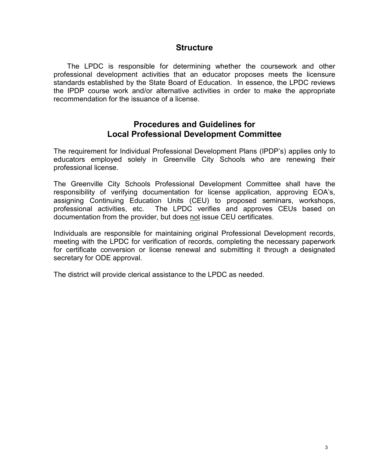#### **Structure**

 The LPDC is responsible for determining whether the coursework and other professional development activities that an educator proposes meets the licensure standards established by the State Board of Education. In essence, the LPDC reviews the IPDP course work and/or alternative activities in order to make the appropriate recommendation for the issuance of a license.

#### **Procedures and Guidelines for Local Professional Development Committee**

The requirement for Individual Professional Development Plans (IPDP's) applies only to educators employed solely in Greenville City Schools who are renewing their professional license.

The Greenville City Schools Professional Development Committee shall have the responsibility of verifying documentation for license application, approving EOA's, assigning Continuing Education Units (CEU) to proposed seminars, workshops, professional activities, etc. The LPDC verifies and approves CEUs based on documentation from the provider, but does not issue CEU certificates.

Individuals are responsible for maintaining original Professional Development records, meeting with the LPDC for verification of records, completing the necessary paperwork for certificate conversion or license renewal and submitting it through a designated secretary for ODE approval.

The district will provide clerical assistance to the LPDC as needed.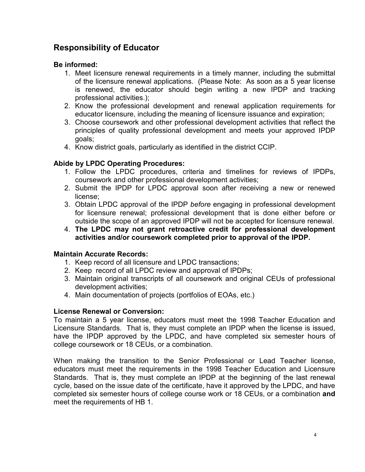## **Responsibility of Educator**

#### **Be informed:**

- 1. Meet licensure renewal requirements in a timely manner, including the submittal of the licensure renewal applications. (Please Note: As soon as a 5 year license is renewed, the educator should begin writing a new IPDP and tracking professional activities.);
- 2. Know the professional development and renewal application requirements for educator licensure, including the meaning of licensure issuance and expiration;
- 3. Choose coursework and other professional development activities that reflect the principles of quality professional development and meets your approved IPDP goals;
- 4. Know district goals, particularly as identified in the district CCIP.

#### **Abide by LPDC Operating Procedures:**

- 1. Follow the LPDC procedures, criteria and timelines for reviews of IPDPs, coursework and other professional development activities;
- 2. Submit the IPDP for LPDC approval soon after receiving a new or renewed license;
- 3. Obtain LPDC approval of the IPDP *before* engaging in professional development for licensure renewal; professional development that is done either before or outside the scope of an approved IPDP will not be accepted for licensure renewal.
- 4. **The LPDC may not grant retroactive credit for professional development activities and/or coursework completed prior to approval of the IPDP.**

#### **Maintain Accurate Records:**

- 1. Keep record of all licensure and LPDC transactions;
- 2. Keep record of all LPDC review and approval of IPDPs;
- 3. Maintain original transcripts of all coursework and original CEUs of professional development activities;
- 4. Main documentation of projects (portfolios of EOAs, etc.)

#### **License Renewal or Conversion:**

To maintain a 5 year license, educators must meet the 1998 Teacher Education and Licensure Standards. That is, they must complete an IPDP when the license is issued, have the IPDP approved by the LPDC, and have completed six semester hours of college coursework or 18 CEUs, or a combination.

When making the transition to the Senior Professional or Lead Teacher license, educators must meet the requirements in the 1998 Teacher Education and Licensure Standards. That is, they must complete an IPDP at the beginning of the last renewal cycle, based on the issue date of the certificate, have it approved by the LPDC, and have completed six semester hours of college course work or 18 CEUs, or a combination **and** meet the requirements of HB 1.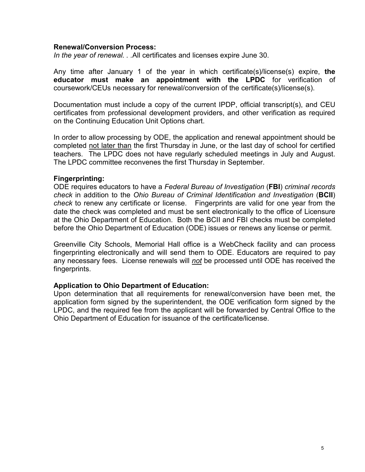#### **Renewal/Conversion Process:**

*In the year of renewal. . .*All certificates and licenses expire June 30.

Any time after January 1 of the year in which certificate(s)/license(s) expire, **the educator must make an appointment with the LPDC** for verification of coursework/CEUs necessary for renewal/conversion of the certificate(s)/license(s).

Documentation must include a copy of the current IPDP, official transcript(s), and CEU certificates from professional development providers, and other verification as required on the Continuing Education Unit Options chart.

In order to allow processing by ODE, the application and renewal appointment should be completed not later than the first Thursday in June, or the last day of school for certified teachers. The LPDC does not have regularly scheduled meetings in July and August. The LPDC committee reconvenes the first Thursday in September.

#### **Fingerprinting:**

ODE requires educators to have a *Federal Bureau of Investigation* (**FBI**) *criminal records check* in addition to the *Ohio Bureau of Criminal Identification and Investigation* (**BCII**) *check* to renew any certificate or license. Fingerprints are valid for one year from the date the check was completed and must be sent electronically to the office of Licensure at the Ohio Department of Education. Both the BCII and FBI checks must be completed before the Ohio Department of Education (ODE) issues or renews any license or permit.

Greenville City Schools, Memorial Hall office is a WebCheck facility and can process fingerprinting electronically and will send them to ODE. Educators are required to pay any necessary fees. License renewals will *not* be processed until ODE has received the fingerprints.

#### **Application to Ohio Department of Education:**

Upon determination that all requirements for renewal/conversion have been met, the application form signed by the superintendent, the ODE verification form signed by the LPDC, and the required fee from the applicant will be forwarded by Central Office to the Ohio Department of Education for issuance of the certificate/license.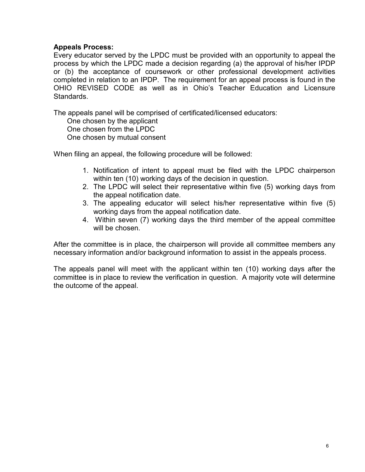#### **Appeals Process:**

Every educator served by the LPDC must be provided with an opportunity to appeal the process by which the LPDC made a decision regarding (a) the approval of his/her IPDP or (b) the acceptance of coursework or other professional development activities completed in relation to an IPDP. The requirement for an appeal process is found in the OHIO REVISED CODE as well as in Ohio's Teacher Education and Licensure Standards.

The appeals panel will be comprised of certificated/licensed educators:

 One chosen by the applicant One chosen from the LPDC One chosen by mutual consent

When filing an appeal, the following procedure will be followed:

- 1. Notification of intent to appeal must be filed with the LPDC chairperson within ten (10) working days of the decision in question.
- 2. The LPDC will select their representative within five (5) working days from the appeal notification date.
- 3. The appealing educator will select his/her representative within five (5) working days from the appeal notification date.
- 4. Within seven (7) working days the third member of the appeal committee will be chosen.

After the committee is in place, the chairperson will provide all committee members any necessary information and/or background information to assist in the appeals process.

The appeals panel will meet with the applicant within ten (10) working days after the committee is in place to review the verification in question. A majority vote will determine the outcome of the appeal.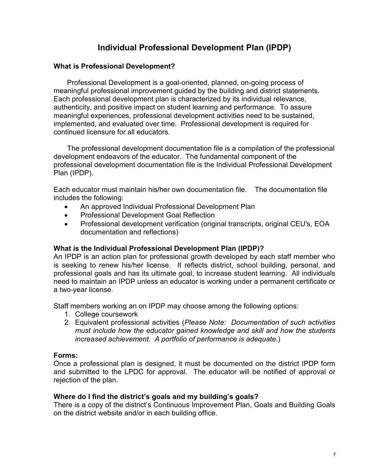## **Individual Professional Development Plan (IPDP)**

#### **What is Professional Development?**

Professional Development is a goal-oriented, planned, on-going process of meaningful professional improvement guided by the building and district statements. Each professional development plan is characterized by its individual relevance, authenticity, and positive impact on student learning and performance. To assure meaningful experiences, professional development activities need to be sustained, implemented, and evaluated over time. Professional development is required for continued licensure for all educators.

 The professional development documentation file is a compilation of the professional development endeavors of the educator. The fundamental component of the professional development documentation file is the Individual Professional Development Plan (IPDP).

Each educator must maintain his/her own documentation file. The documentation file includes the following:

- An approved Individual Professional Development Plan
- Professional Development Goal Reflection
- Professional development verification (original transcripts, original CEU's, EOA documentation and reflections)

#### **What is the Individual Professional Development Plan (IPDP)?**

An IPDP is an action plan for professional growth developed by each staff member who is seeking to renew his/her license. It reflects district, school building, personal, and professional goals and has its ultimate goal, to increase student learning. All individuals need to maintain an IPDP unless an educator is working under a permanent certificate or a two-year license.

Staff members working an on IPDP may choose among the following options:

- 1. College coursework
- 2. Equivalent professional activities (*Please Note: Documentation of such activities must include how the educator gained knowledge and skill and how the students increased achievement. A portfolio of performance is adequate.*)

#### **Forms:**

Once a professional plan is designed, it must be documented on the district IPDP form and submitted to the LPDC for approval. The educator will be notified of approval or rejection of the plan.

#### **Where do I find the district's goals and my building's goals?**

There is a copy of the district's Continuous Improvement Plan, Goals and Building Goals on the district website and/or in each building office.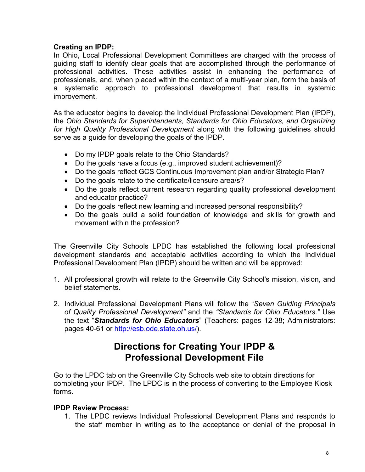#### **Creating an IPDP:**

In Ohio, Local Professional Development Committees are charged with the process of guiding staff to identify clear goals that are accomplished through the performance of professional activities. These activities assist in enhancing the performance of professionals, and, when placed within the context of a multi-year plan, form the basis of a systematic approach to professional development that results in systemic improvement.

As the educator begins to develop the Individual Professional Development Plan (IPDP), the *Ohio Standards for Superintendents, Standards for Ohio Educators, and Organizing for High Quality Professional Development* along with the following guidelines should serve as a guide for developing the goals of the IPDP.

- Do my IPDP goals relate to the Ohio Standards?
- Do the goals have a focus (e.g., improved student achievement)?
- Do the goals reflect GCS Continuous Improvement plan and/or Strategic Plan?
- Do the goals relate to the certificate/licensure area/s?
- Do the goals reflect current research regarding quality professional development and educator practice?
- Do the goals reflect new learning and increased personal responsibility?
- Do the goals build a solid foundation of knowledge and skills for growth and movement within the profession?

The Greenville City Schools LPDC has established the following local professional development standards and acceptable activities according to which the Individual Professional Development Plan (IPDP) should be written and will be approved:

- 1. All professional growth will relate to the Greenville City School's mission, vision, and belief statements.
- 2. Individual Professional Development Plans will follow the "*Seven Guiding Principals of Quality Professional Development"* and the *"Standards for Ohio Educators."* Use the text "*Standards for Ohio Educators*" (Teachers: pages 12-38; Administrators: pages 40-61 or http://esb.ode.state.oh.us/).

## **Directions for Creating Your IPDP & Professional Development File**

Go to the LPDC tab on the Greenville City Schools web site to obtain directions for completing your IPDP. The LPDC is in the process of converting to the Employee Kiosk forms.

#### **IPDP Review Process:**

1. The LPDC reviews Individual Professional Development Plans and responds to the staff member in writing as to the acceptance or denial of the proposal in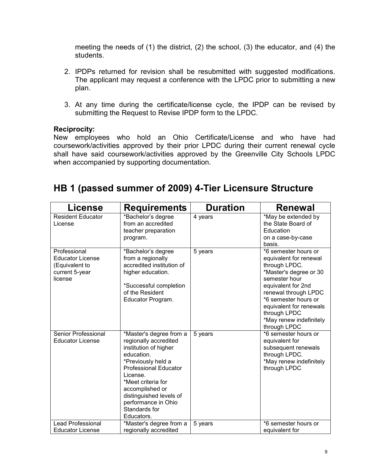meeting the needs of (1) the district, (2) the school, (3) the educator, and (4) the students.

- 2. IPDPs returned for revision shall be resubmitted with suggested modifications. The applicant may request a conference with the LPDC prior to submitting a new plan.
- 3. At any time during the certificate/license cycle, the IPDP can be revised by submitting the Request to Revise IPDP form to the LPDC.

#### **Reciprocity:**

New employees who hold an Ohio Certificate/License and who have had coursework/activities approved by their prior LPDC during their current renewal cycle shall have said coursework/activities approved by the Greenville City Schools LPDC when accompanied by supporting documentation.

## **HB 1 (passed summer of 2009) 4-Tier Licensure Structure**

| License                                                                                | <b>Requirements</b>                                                                                                                                                                                                                                                                 | <b>Duration</b> | <b>Renewal</b>                                                                                                                                                                                                                                                         |
|----------------------------------------------------------------------------------------|-------------------------------------------------------------------------------------------------------------------------------------------------------------------------------------------------------------------------------------------------------------------------------------|-----------------|------------------------------------------------------------------------------------------------------------------------------------------------------------------------------------------------------------------------------------------------------------------------|
| <b>Resident Educator</b><br>License                                                    | *Bachelor's degree<br>from an accredited<br>teacher preparation<br>program.                                                                                                                                                                                                         | 4 years         | *May be extended by<br>the State Board of<br>Education<br>on a case-by-case<br>basis.                                                                                                                                                                                  |
| Professional<br><b>Educator License</b><br>(Equivalent to<br>current 5-year<br>license | *Bachelor's degree<br>from a regionally<br>accredited institution of<br>higher education.<br>*Successful completion<br>of the Resident<br>Educator Program.                                                                                                                         | 5 years         | *6 semester hours or<br>equivalent for renewal<br>through LPDC.<br>*Master's degree or 30<br>semester hour<br>equivalent for 2nd<br>renewal through LPDC<br>*6 semester hours or<br>equivalent for renewals<br>through LPDC<br>*May renew indefinitely<br>through LPDC |
| Senior Professional<br><b>Educator License</b>                                         | *Master's degree from a<br>regionally accredited<br>institution of higher<br>education.<br>*Previously held a<br><b>Professional Educator</b><br>License.<br>*Meet criteria for<br>accomplished or<br>distinguished levels of<br>performance in Ohio<br>Standards for<br>Educators. | 5 years         | *6 semester hours or<br>equivalent for<br>subsequent renewals<br>through LPDC.<br>*May renew indefinitely<br>through LPDC                                                                                                                                              |
| <b>Lead Professional</b><br><b>Educator License</b>                                    | *Master's degree from a<br>regionally accredited                                                                                                                                                                                                                                    | 5 years         | *6 semester hours or<br>equivalent for                                                                                                                                                                                                                                 |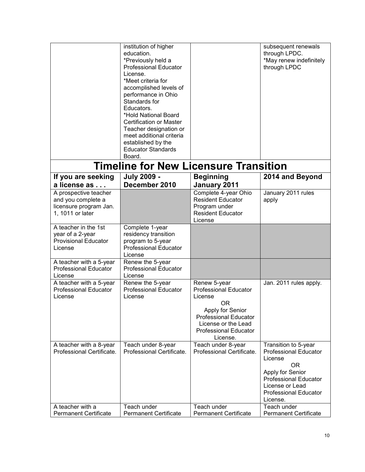|                                                                                           | institution of higher<br>education.<br>*Previously held a<br><b>Professional Educator</b><br>License.<br>*Meet criteria for<br>accomplished levels of<br>performance in Ohio                      |                                                                                                                                                                                       | subsequent renewals<br>through LPDC.<br>*May renew indefinitely<br>through LPDC                                                                                                          |  |  |
|-------------------------------------------------------------------------------------------|---------------------------------------------------------------------------------------------------------------------------------------------------------------------------------------------------|---------------------------------------------------------------------------------------------------------------------------------------------------------------------------------------|------------------------------------------------------------------------------------------------------------------------------------------------------------------------------------------|--|--|
|                                                                                           | Standards for<br>Educators.<br>*Hold National Board<br>Certification or Master<br>Teacher designation or<br>meet additional criteria<br>established by the<br><b>Educator Standards</b><br>Board. |                                                                                                                                                                                       |                                                                                                                                                                                          |  |  |
| <b>Timeline for New Licensure Transition</b>                                              |                                                                                                                                                                                                   |                                                                                                                                                                                       |                                                                                                                                                                                          |  |  |
| If you are seeking<br>a license as                                                        | <b>July 2009 -</b><br>December 2010                                                                                                                                                               | <b>Beginning</b><br>January 2011                                                                                                                                                      | 2014 and Beyond                                                                                                                                                                          |  |  |
| A prospective teacher<br>and you complete a<br>licensure program Jan.<br>1, 1011 or later |                                                                                                                                                                                                   | Complete 4-year Ohio<br><b>Resident Educator</b><br>Program under<br><b>Resident Educator</b><br>License                                                                              | January 2011 rules<br>apply                                                                                                                                                              |  |  |
| A teacher in the 1st<br>year of a 2-year<br><b>Provisional Educator</b><br>License        | Complete 1-year<br>residency transition<br>program to 5-year<br><b>Professional Educator</b><br>License                                                                                           |                                                                                                                                                                                       |                                                                                                                                                                                          |  |  |
| A teacher with a 5-year<br><b>Professional Educator</b><br>License                        | Renew the 5-year<br><b>Professional Educator</b><br>License                                                                                                                                       |                                                                                                                                                                                       |                                                                                                                                                                                          |  |  |
| A teacher with a 5-year<br><b>Professional Educator</b><br>License                        | Renew the 5-year<br><b>Professional Educator</b><br>License                                                                                                                                       | Renew 5-year<br><b>Professional Educator</b><br>License<br>OR.<br>Apply for Senior<br><b>Professional Educator</b><br>License or the Lead<br><b>Professional Educator</b><br>License. | Jan. 2011 rules apply.                                                                                                                                                                   |  |  |
| A teacher with a 8-year<br>Professional Certificate.                                      | Teach under 8-year<br>Professional Certificate.                                                                                                                                                   | Teach under 8-year<br>Professional Certificate.                                                                                                                                       | Transition to 5-year<br><b>Professional Educator</b><br>License<br>0R<br>Apply for Senior<br><b>Professional Educator</b><br>License or Lead<br><b>Professional Educator</b><br>License. |  |  |
| A teacher with a<br><b>Permanent Certificate</b>                                          | Teach under<br><b>Permanent Certificate</b>                                                                                                                                                       | Teach under<br><b>Permanent Certificate</b>                                                                                                                                           | Teach under<br><b>Permanent Certificate</b>                                                                                                                                              |  |  |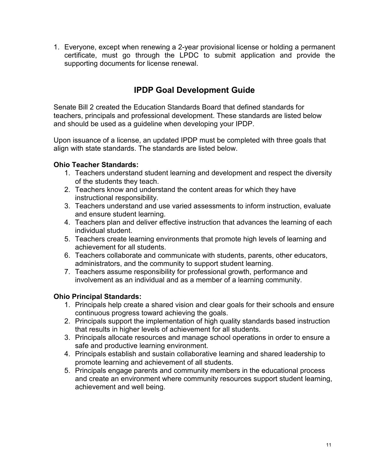1. Everyone, except when renewing a 2-year provisional license or holding a permanent certificate, must go through the LPDC to submit application and provide the supporting documents for license renewal.

## **IPDP Goal Development Guide**

Senate Bill 2 created the Education Standards Board that defined standards for teachers, principals and professional development. These standards are listed below and should be used as a guideline when developing your IPDP.

Upon issuance of a license, an updated IPDP must be completed with three goals that align with state standards. The standards are listed below.

#### **Ohio Teacher Standards:**

- 1. Teachers understand student learning and development and respect the diversity of the students they teach.
- 2. Teachers know and understand the content areas for which they have instructional responsibility.
- 3. Teachers understand and use varied assessments to inform instruction, evaluate and ensure student learning.
- 4. Teachers plan and deliver effective instruction that advances the learning of each individual student.
- 5. Teachers create learning environments that promote high levels of learning and achievement for all students.
- 6. Teachers collaborate and communicate with students, parents, other educators, administrators, and the community to support student learning.
- 7. Teachers assume responsibility for professional growth, performance and involvement as an individual and as a member of a learning community.

#### **Ohio Principal Standards:**

- 1. Principals help create a shared vision and clear goals for their schools and ensure continuous progress toward achieving the goals.
- 2. Principals support the implementation of high quality standards based instruction that results in higher levels of achievement for all students.
- 3. Principals allocate resources and manage school operations in order to ensure a safe and productive learning environment.
- 4. Principals establish and sustain collaborative learning and shared leadership to promote learning and achievement of all students.
- 5. Principals engage parents and community members in the educational process and create an environment where community resources support student learning, achievement and well being.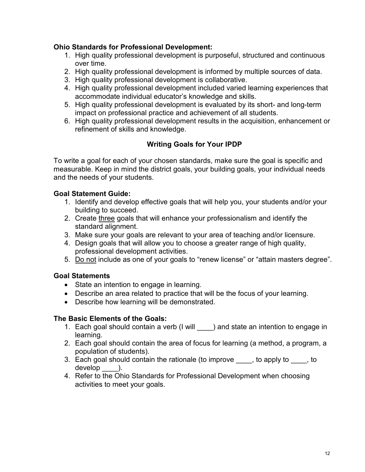#### **Ohio Standards for Professional Development:**

- 1. High quality professional development is purposeful, structured and continuous over time.
- 2. High quality professional development is informed by multiple sources of data.
- 3. High quality professional development is collaborative.
- 4. High quality professional development included varied learning experiences that accommodate individual educator's knowledge and skills.
- 5. High quality professional development is evaluated by its short- and long-term impact on professional practice and achievement of all students.
- 6. High quality professional development results in the acquisition, enhancement or refinement of skills and knowledge.

#### **Writing Goals for Your IPDP**

To write a goal for each of your chosen standards, make sure the goal is specific and measurable. Keep in mind the district goals, your building goals, your individual needs and the needs of your students.

#### **Goal Statement Guide:**

- 1. Identify and develop effective goals that will help you, your students and/or your building to succeed.
- 2. Create three goals that will enhance your professionalism and identify the standard alignment.
- 3. Make sure your goals are relevant to your area of teaching and/or licensure.
- 4. Design goals that will allow you to choose a greater range of high quality, professional development activities.
- 5. Do not include as one of your goals to "renew license" or "attain masters degree".

#### **Goal Statements**

- State an intention to engage in learning.
- Describe an area related to practice that will be the focus of your learning.
- Describe how learning will be demonstrated.

#### **The Basic Elements of the Goals:**

- 1. Each goal should contain a verb (I will ) and state an intention to engage in learning.
- 2. Each goal should contain the area of focus for learning (a method, a program, a population of students).
- 3. Each goal should contain the rationale (to improve , to apply to , to develop ).
- 4. Refer to the Ohio Standards for Professional Development when choosing activities to meet your goals.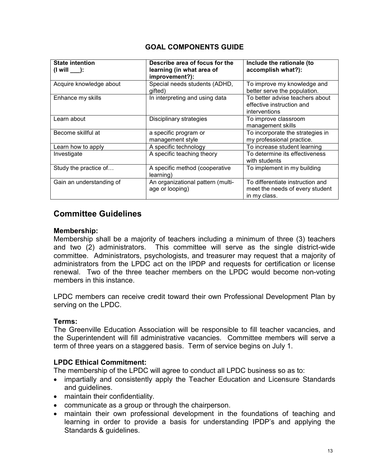#### **GOAL COMPONENTS GUIDE**

| <b>State intention</b><br>$\frac{1}{2}$ (I will $\frac{1}{2}$ ): | Describe area of focus for the<br>learning (in what area of<br>improvement?): | Include the rationale (to<br>accomplish what?):                                     |
|------------------------------------------------------------------|-------------------------------------------------------------------------------|-------------------------------------------------------------------------------------|
| Acquire knowledge about                                          | Special needs students (ADHD,<br>qifted)                                      | To improve my knowledge and<br>better serve the population.                         |
| Enhance my skills                                                | In interpreting and using data                                                | To better advise teachers about<br>effective instruction and<br>interventions       |
| Learn about                                                      | Disciplinary strategies                                                       | To improve classroom<br>management skills                                           |
| Become skillful at                                               | a specific program or<br>management style                                     | To incorporate the strategies in<br>my professional practice.                       |
| Learn how to apply                                               | A specific technology                                                         | To increase student learning                                                        |
| Investigate                                                      | A specific teaching theory                                                    | To determine its effectiveness<br>with students                                     |
| Study the practice of                                            | A specific method (cooperative<br>learning)                                   | To implement in my building                                                         |
| Gain an understanding of                                         | An organizational pattern (multi-<br>age or looping)                          | To differentiate instruction and<br>meet the needs of every student<br>in my class. |

## **Committee Guidelines**

#### **Membership:**

Membership shall be a majority of teachers including a minimum of three (3) teachers and two (2) administrators. This committee will serve as the single district-wide committee. Administrators, psychologists, and treasurer may request that a majority of administrators from the LPDC act on the IPDP and requests for certification or license renewal. Two of the three teacher members on the LPDC would become non-voting members in this instance.

LPDC members can receive credit toward their own Professional Development Plan by serving on the LPDC.

#### **Terms:**

The Greenville Education Association will be responsible to fill teacher vacancies, and the Superintendent will fill administrative vacancies. Committee members will serve a term of three years on a staggered basis. Term of service begins on July 1.

#### **LPDC Ethical Commitment:**

The membership of the LPDC will agree to conduct all LPDC business so as to:

- impartially and consistently apply the Teacher Education and Licensure Standards and guidelines.
- maintain their confidentiality.
- communicate as a group or through the chairperson.
- maintain their own professional development in the foundations of teaching and learning in order to provide a basis for understanding IPDP's and applying the Standards & guidelines.